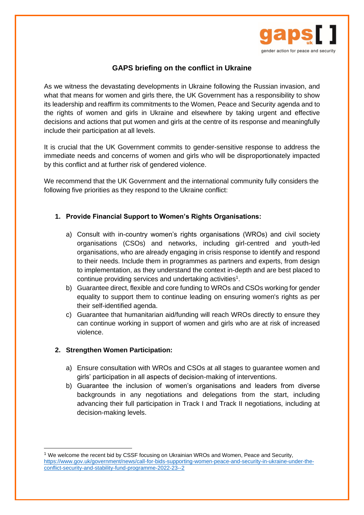

# **GAPS briefing on the conflict in Ukraine**

As we witness the devastating developments in Ukraine following the Russian invasion, and what that means for women and girls there, the UK Government has a responsibility to show its leadership and reaffirm its commitments to the Women, Peace and Security agenda and to the rights of women and girls in Ukraine and elsewhere by taking urgent and effective decisions and actions that put women and girls at the centre of its response and meaningfully include their participation at all levels.

It is crucial that the UK Government commits to gender-sensitive response to address the immediate needs and concerns of women and girls who will be disproportionately impacted by this conflict and at further risk of gendered violence.

We recommend that the UK Government and the international community fully considers the following five priorities as they respond to the Ukraine conflict:

## **1. Provide Financial Support to Women's Rights Organisations:**

- a) Consult with in-country women's rights organisations (WROs) and civil society organisations (CSOs) and networks, including girl-centred and youth-led organisations, who are already engaging in crisis response to identify and respond to their needs. Include them in programmes as partners and experts, from design to implementation, as they understand the context in-depth and are best placed to continue providing services and undertaking activities<sup>1</sup>.
- b) Guarantee direct, flexible and core funding to WROs and CSOs working for gender equality to support them to continue leading on ensuring women's rights as per their self-identified agenda.
- c) Guarantee that humanitarian aid/funding will reach WROs directly to ensure they can continue working in support of women and girls who are at risk of increased violence.

#### **2. Strengthen Women Participation:**

- a) Ensure consultation with WROs and CSOs at all stages to guarantee women and girls' participation in all aspects of decision-making of interventions.
- b) Guarantee the inclusion of women's organisations and leaders from diverse backgrounds in any negotiations and delegations from the start, including advancing their full participation in Track I and Track II negotiations, including at decision-making levels.

<sup>1</sup> We welcome the recent bid by CSSF focusing on Ukrainian WROs and Women, Peace and Security, [https://www.gov.uk/government/news/call-for-bids-supporting-women-peace-and-security-in-ukraine-under-the](https://www.gov.uk/government/news/call-for-bids-supporting-women-peace-and-security-in-ukraine-under-the-conflict-security-and-stability-fund-programme-2022-23--2)[conflict-security-and-stability-fund-programme-2022-23--2](https://www.gov.uk/government/news/call-for-bids-supporting-women-peace-and-security-in-ukraine-under-the-conflict-security-and-stability-fund-programme-2022-23--2)